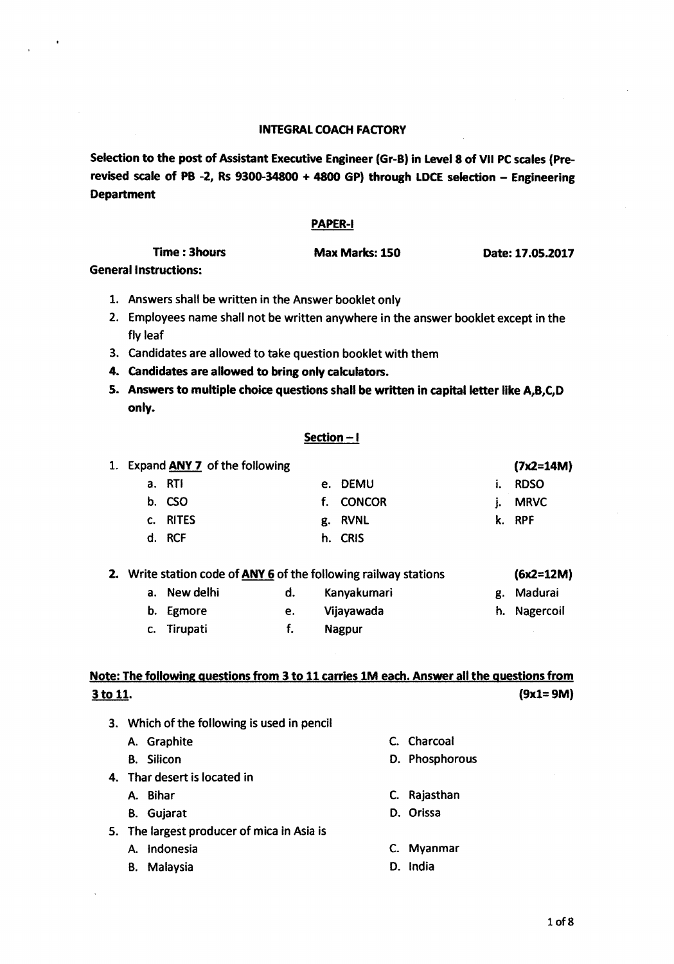## INTEGRAL COACH FACTORY

Selection to the post of Assistant Executive Engineer (Gr-B) in Level 8 of VII PC scales (Prerevised scale of PB -2, Rs 9300-34800 + 4800 GP) through LDCE selection - Engineering Department

### PAPER-I

| Time : 3hours              | Max Marks: 150 | Date: 17.05.2017 |
|----------------------------|----------------|------------------|
| المستملة ويتمتعها المعتمسة |                |                  |

General Instructions:

- 1. Answers shall be written in the Answer booklet only
- 2. Employees name shall not be written anywhere in the answer booklet except in the fly leaf
- 3. Candidates are allowed to take question booklet with them
- 4. candidates are allowed to bring only cakulators.
- 5. Answers to multiple choice questions shall be written in capital letter like A,B,C,D only.

#### Section - I

| 1. | Expand ANY 7 of the following |    |               |    | $(7x2=14M)$ |
|----|-------------------------------|----|---------------|----|-------------|
|    | a. RTI                        |    | e. DEMU       | ŧ. | <b>RDSO</b> |
|    | b. CSO                        | t. | <b>CONCOR</b> |    | <b>MRVC</b> |
|    | c. RITES                      |    | g. RVNL       |    | k. RPF      |
|    | d. RCF                        |    | h. CRIS       |    |             |
|    |                               |    |               |    |             |

| 2. |              |    | Write station code of ANY 6 of the following railway stations | $(6x2=12M)$  |  |
|----|--------------|----|---------------------------------------------------------------|--------------|--|
|    | a. New delhi | d. | Kanyakumari                                                   | g. Madurai   |  |
|    | b. Egmore    | e. | Vijayawada                                                    | h. Nagercoil |  |
|    | c. Tirupati  |    | <b>Nagpur</b>                                                 |              |  |

# Note: The following questions from 3 to 11 carries 1M each. Answer all the questions from  $\frac{3 \text{ to } 11}{9 \text{x1} = 9 \text{M}}$

3. Which of the following is used in pencil

A. Graphite C. Charcoal

- 
- 4. Thar desert is located in
	-
	- B. Gujarat D. Orissa
- 5. The largest producer of mica in Asia is
	-
	- B. Malaysia **O.** India
- 
- B. Silicon D. Phosphorous
- A. Bihar C. Rajasthan
	-
- A. Indonesia C. Myanmar
	-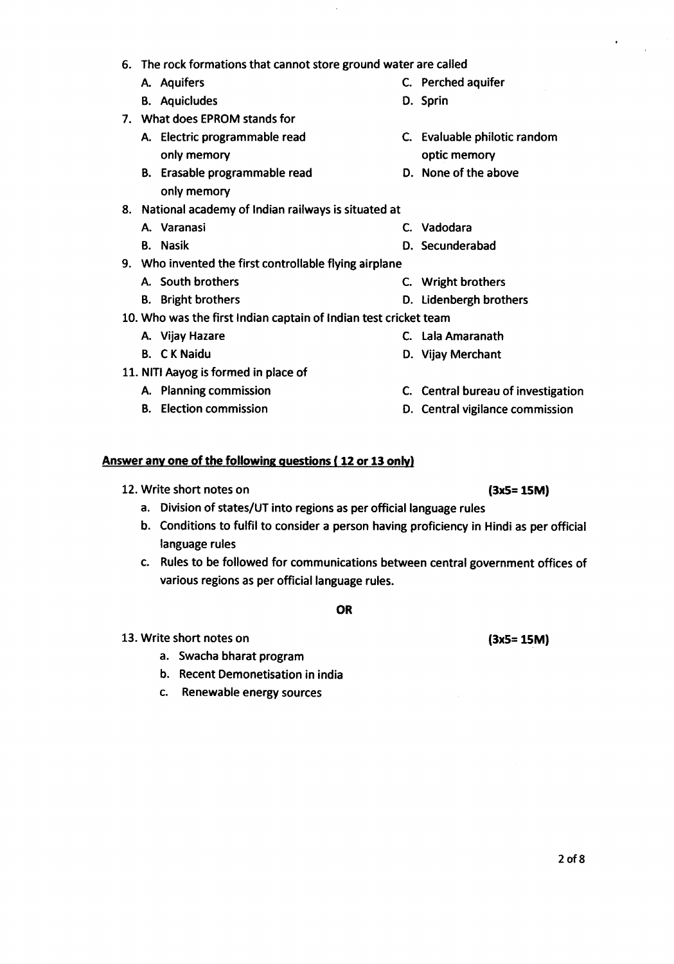- 6. The rock formations that cannot store ground water are called
	-
	- B. Aquicludes D. Sprin
- 7. What does EPROM stands for
	- A. Electric programmable read C. Evaluable philotic random only memory and the control of the control optic memory
	- B. Erasable programmable read D. None of the above only memory
- 8. National academy of Indian railways is situated at
	-
	-
- 9. Who invented the first controllable flying airplane
	-
	-
- 10.Who was the first Indian captain of Indian test cricket team
	- A. Vijay Hazare C. Lala Amaranath
	-
- 11. NITI Aayog is formed in place of
	- A. Planning commission
	- B. Election commission

# **Answer anyone of the following questions ( 12or 13 only)**

- 12.Write short notes on **(3x5= 15M)**
	- a. Division of states/UT into regions as per official language rules
	- b. Conditions to fulfil to consider a person having proficiency in Hindi as per official language rules
	- c. Rules to be followed for communications between central government offices of various regions as per official language rules.

**OR**

- 13.Write short notes on
	- a. Swacha bharat program
	- b. Recent Demonetisation in india
	- c. Renewable energy sources

20fS

- A. Aquifers C. Perched aquifer
	-
	-
	-
- A. Varanasi C. Vadodara
- B. Nasik D. Secunderabad
- A. South brothers C. Wright brothers
- B. Bright brothers **B. Bright brothers D. Lidenbergh brothers** 
	-
- B. C K Naidu D. Vijay Merchant
	- C. Central bureau of investigation
	- D. Central vigilance commission

**(3x5= 15M)**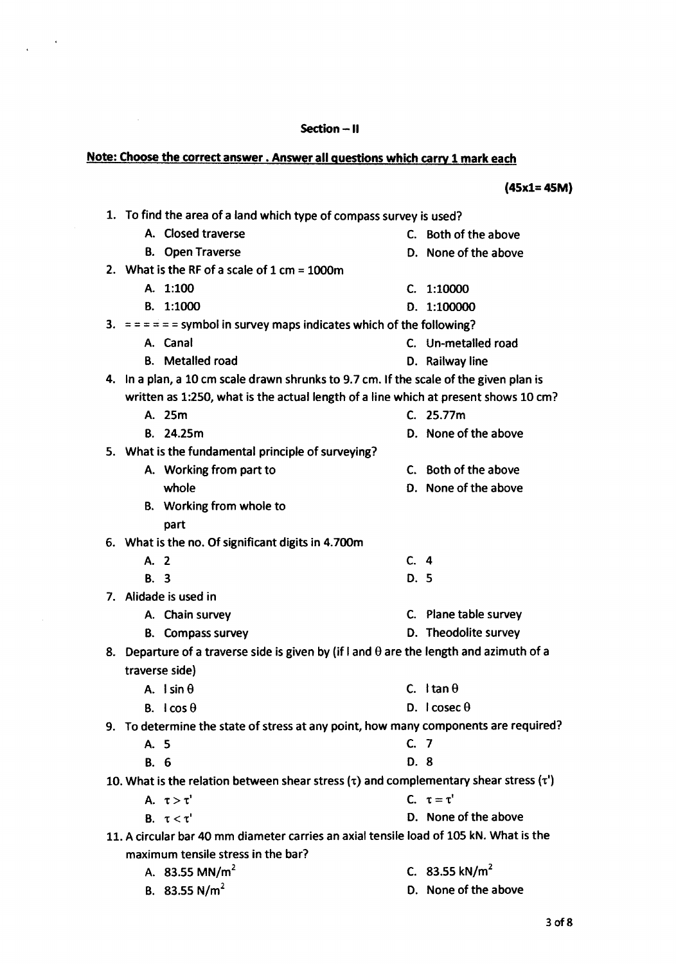## Section -- II

# Note: Choose the correct answer. Answer all questions which carry 1 mark each

 $\sim 10^6$ 

 $\bar{z}$ 

 $\ddot{\phantom{1}}$ 

|             |                                                                                                 |      | 145XI= 451            |
|-------------|-------------------------------------------------------------------------------------------------|------|-----------------------|
|             | 1. To find the area of a land which type of compass survey is used?                             |      |                       |
|             | A. Closed traverse                                                                              |      | C. Both of the above  |
|             | <b>B.</b> Open Traverse                                                                         |      | D. None of the above  |
|             | 2. What is the RF of a scale of $1 \text{ cm} = 1000 \text{ m}$                                 |      |                       |
|             | A. 1:100                                                                                        | C.   | 1:10000               |
|             | B. 1:1000                                                                                       |      | D. 1:100000           |
|             | 3. $=$ = = = = symbol in survey maps indicates which of the following?                          |      |                       |
|             | A. Canal                                                                                        |      | C. Un-metalled road   |
|             | <b>B.</b> Metalled road                                                                         |      | D. Railway line       |
|             | 4. In a plan, a 10 cm scale drawn shrunks to 9.7 cm. If the scale of the given plan is          |      |                       |
|             | written as 1:250, what is the actual length of a line which at present shows 10 cm?             |      |                       |
|             | A. 25m                                                                                          |      | C. 25.77m             |
|             | B. 24.25m                                                                                       |      | D. None of the above  |
|             | 5. What is the fundamental principle of surveying?                                              |      |                       |
|             | A. Working from part to                                                                         |      | C. Both of the above  |
|             | whole                                                                                           |      | D. None of the above  |
|             | B. Working from whole to                                                                        |      |                       |
|             | part                                                                                            |      |                       |
|             | 6. What is the no. Of significant digits in 4.700m                                              |      |                       |
| A. 2        |                                                                                                 | C.4  |                       |
| B. 3        |                                                                                                 | D. 5 |                       |
|             | 7. Alidade is used in                                                                           |      |                       |
|             | A. Chain survey                                                                                 |      | C. Plane table survey |
|             | <b>B.</b> Compass survey                                                                        |      | D. Theodolite survey  |
|             | 8. Departure of a traverse side is given by (if I and $\theta$ are the length and azimuth of a  |      |                       |
|             | traverse side)                                                                                  |      |                       |
|             | A. Isin $\theta$                                                                                |      | C. Itan $\theta$      |
|             | B. $\text{I} \cos \theta$                                                                       |      | D. $I \csc \theta$    |
|             | 9. To determine the state of stress at any point, how many components are required?             |      |                       |
| A. 5        |                                                                                                 | C.7  |                       |
| <b>B.</b> 6 |                                                                                                 | D. 8 |                       |
|             | 10. What is the relation between shear stress $(\tau)$ and complementary shear stress $(\tau')$ |      |                       |
|             | A. $\tau > \tau'$                                                                               |      | C. $\tau = \tau'$     |
|             | B. $\tau < \tau'$                                                                               |      | D. None of the above  |
|             | 11. A circular bar 40 mm diameter carries an axial tensile load of 105 kN. What is the          |      |                       |
|             | maximum tensile stress in the har?                                                              |      |                       |

- 
- 

- - maximum tensile stress in the bar?
		- A. 83.55  $MN/m<sup>2</sup>$
		- B. 83.55  $N/m^2$
- 
- 
- C. 83.55 kN/m<sup>2</sup>
- D. None of the above

(45xl=4SM)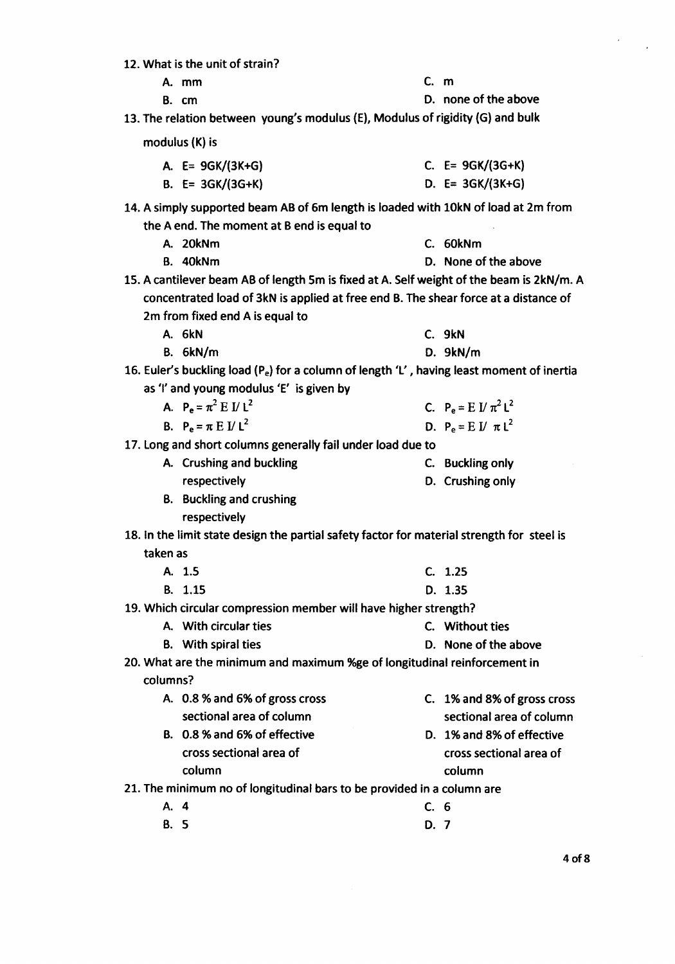12. What is the unit of strain?

A. mm C. m

B. cm D. none of the above

13. The relation between young's modulus (E), Modulus of rigidity (G) and bulk

modulus (K) is

| A. $E = 9GK/(3K+G)$ | C. $E = 9GK/(3G+K)$ |
|---------------------|---------------------|
| B. $E = 3GK/(3G+K)$ | D. $E = 3GK/(3K+G)$ |

- 14. A simply supported beam AB of 6m length is loaded with 10kN of load at 2m from the A end. The moment at B end is equal to
	- A. 20kNm C. 60kNm
	- B. 40kNm D. None of the above
- 15. A cantilever beam AB of length 5m is fixed at A. Self weight of the beam is 2kN/m. A concentrated load of 3kN is applied at free end B. The shear force at a distance of 2m from fixed end A is equal to

A. 6kN

- B. 6kN/m D. 9kN/m
- 16. Euler's buckling load (Pe) for <sup>a</sup> column of length *'l' ,* having least moment of inertia as *'I'* and young modulus *'E'* isgiven by
	- A.  $P_e = \pi^2 E I I^2$ C.  $P_e = E I / \pi^2 L^2$
	- B.  $P_e = \pi E V L^2$

17. long and short columns generally fail under load due to

- A. Crushing and buckling C. Buckling only respectively
- B. Buckling and crushing respectively
- 18. In the limit state design the partial safety factor for material strength for steel is taken as
	- A. 1.5 B. 1.15 C. 1.25 D. 1.35
- 19. Which circular compression member will have higher strength?
	- A. With circular ties C. Without ties
	- B. With spiral ties **B.** None of the above
- 20. What are the minimum and maximum %ge of longitudinal reinforcement in columns?
	- A. 0.8 % and 6% of gross cross sectional area of column C. 1%and 8% of gross cross sectional area of column
	- B. 0.8 %and 6% of effective cross sectional area of D. 1%and 8% of effective cross sectional area of column column

21. The minimum no of longitudinal bars to be provided in a column are

- A. 4 C. 6
- B. 5 D. 7
- C. 9kN
	-
- 
- D. Crushing only
- D.  $P_e = E I / \pi L^2$ 
	-
	-
-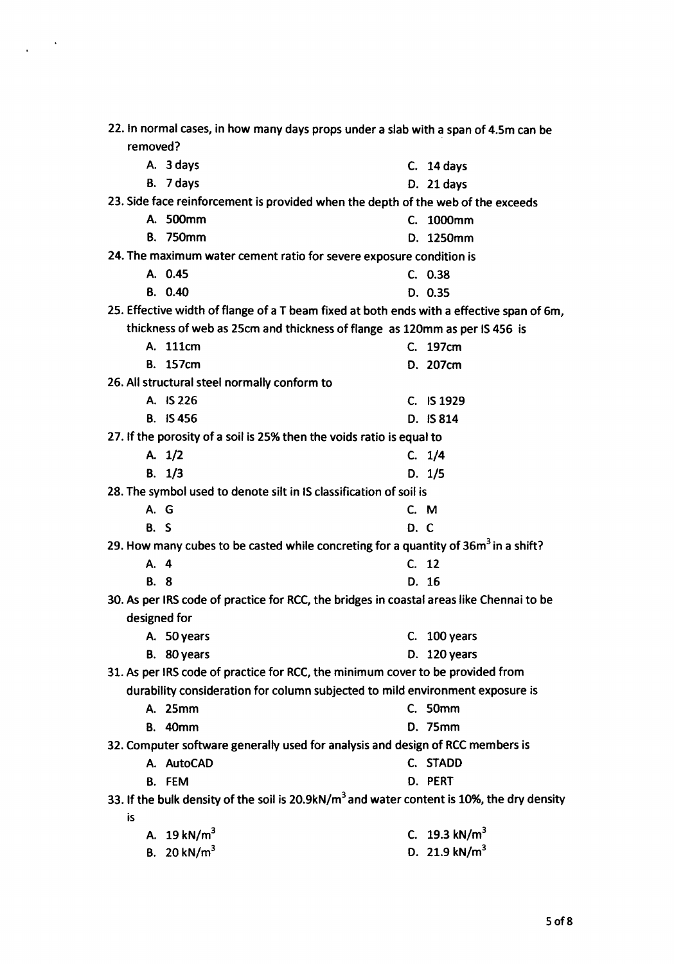|              | 22. In normal cases, in how many days props under a slab with a span of 4.5m can be                    |      |                  |
|--------------|--------------------------------------------------------------------------------------------------------|------|------------------|
| removed?     |                                                                                                        |      |                  |
|              | A. 3 days                                                                                              |      | $C.$ 14 days     |
|              | B. 7 days                                                                                              |      | D. 21 days       |
|              | 23. Side face reinforcement is provided when the depth of the web of the exceeds                       |      |                  |
|              | A. 500mm                                                                                               |      | C. 1000mm        |
|              | <b>B.</b> 750mm                                                                                        |      | D. 1250mm        |
|              | 24. The maximum water cement ratio for severe exposure condition is                                    |      |                  |
|              | A. 0.45                                                                                                |      | C. 0.38          |
|              | B. 0.40                                                                                                |      | D. 0.35          |
|              | 25. Effective width of flange of a T beam fixed at both ends with a effective span of 6m,              |      |                  |
|              | thickness of web as 25cm and thickness of flange as 120mm as per IS 456 is                             |      |                  |
|              | A. 111cm                                                                                               |      | C. 197cm         |
|              | B. 157cm                                                                                               |      | D. 207cm         |
|              | 26. All structural steel normally conform to                                                           |      |                  |
|              | A. IS 226                                                                                              |      | C. IS 1929       |
|              | <b>B.</b> IS 456                                                                                       |      | D. IS 814        |
|              | 27. If the porosity of a soil is 25% then the voids ratio is equal to                                  |      |                  |
|              | A. $1/2$                                                                                               |      | C. 1/4           |
|              | B. 1/3                                                                                                 |      | D. 1/5           |
|              | 28. The symbol used to denote silt in IS classification of soil is                                     |      |                  |
| A. G         |                                                                                                        |      | C. M             |
| <b>B.</b> S  |                                                                                                        | D. C |                  |
|              | 29. How many cubes to be casted while concreting for a quantity of 36m <sup>3</sup> in a shift?        |      |                  |
| A. 4         |                                                                                                        |      | C. 12            |
| <b>B.</b> 8  |                                                                                                        |      | D. 16            |
|              | 30. As per IRS code of practice for RCC, the bridges in coastal areas like Chennai to be               |      |                  |
| designed for |                                                                                                        |      |                  |
|              | A. 50 years                                                                                            |      | C. $100$ years   |
|              | B. 80 years                                                                                            |      | D. 120 years     |
|              | 31. As per IRS code of practice for RCC, the minimum cover to be provided from                         |      |                  |
|              | durability consideration for column subjected to mild environment exposure is                          |      |                  |
|              | A. 25mm                                                                                                |      | C. 50mm          |
|              | <b>B.</b> 40mm                                                                                         |      | <b>D.</b> 75mm   |
|              | 32. Computer software generally used for analysis and design of RCC members is                         |      |                  |
|              | A. AutoCAD                                                                                             |      | C. STADD         |
|              | B. FEM                                                                                                 |      | D. PERT          |
|              | 33. If the bulk density of the soil is 20.9kN/m <sup>3</sup> and water content is 10%, the dry density |      |                  |
| is           |                                                                                                        |      |                  |
|              | A. $19 \text{ kN/m}^3$                                                                                 |      | C. 19.3 kN/ $m3$ |
|              | B. 20 kN/ $m3$                                                                                         |      | D. 21.9 kN/ $m3$ |

 $\frac{1}{4}\left(1-\frac{1}{2}\right)\left(1-\frac{1}{2}\right)$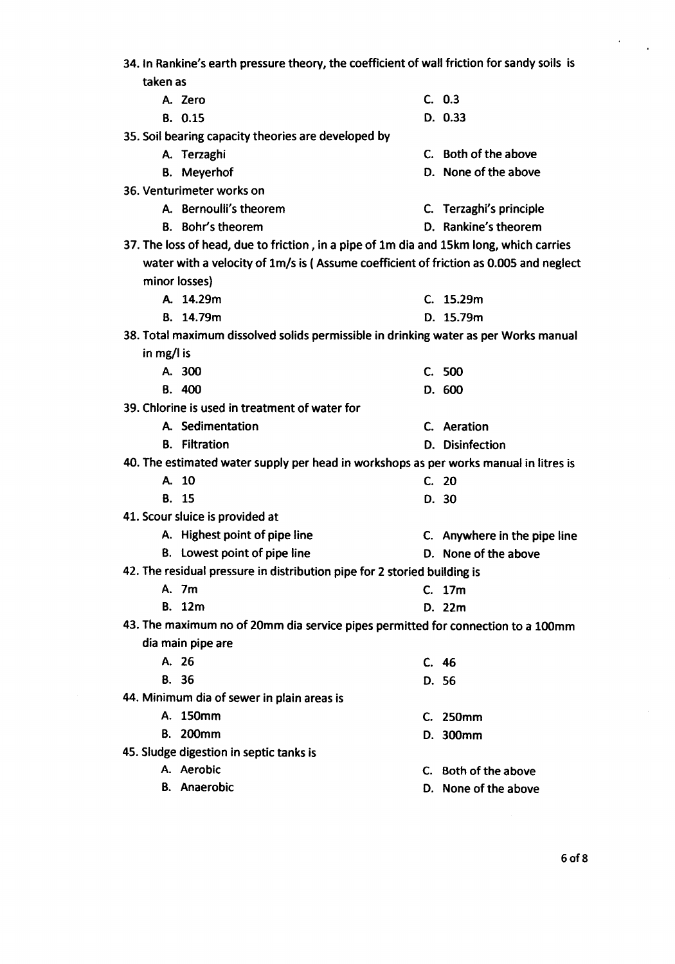| 34. In Rankine's earth pressure theory, the coefficient of wall friction for sandy soils is |                              |
|---------------------------------------------------------------------------------------------|------------------------------|
| taken as                                                                                    |                              |
| A. Zero                                                                                     | C. 0.3                       |
| B. 0.15                                                                                     | D. 0.33                      |
| 35. Soil bearing capacity theories are developed by                                         |                              |
| A. Terzaghi                                                                                 | C. Both of the above         |
| <b>B.</b> Meyerhof                                                                          | D. None of the above         |
| 36. Venturimeter works on                                                                   |                              |
| A. Bernoulli's theorem                                                                      | C. Terzaghi's principle      |
| <b>B.</b> Bohr's theorem                                                                    | D. Rankine's theorem         |
| 37. The loss of head, due to friction, in a pipe of 1m dia and 15km long, which carries     |                              |
| water with a velocity of 1m/s is (Assume coefficient of friction as 0.005 and neglect       |                              |
| minor losses)                                                                               |                              |
| A. 14.29m                                                                                   | C. 15.29m                    |
| B. 14.79m                                                                                   | D. 15.79m                    |
| 38. Total maximum dissolved solids permissible in drinking water as per Works manual        |                              |
| in mg/l is                                                                                  |                              |
| A. 300                                                                                      | C. 500                       |
| B. 400                                                                                      | D. 600                       |
| 39. Chlorine is used in treatment of water for                                              |                              |
| A. Sedimentation                                                                            | C. Aeration                  |
| <b>B.</b> Filtration                                                                        | D. Disinfection              |
| 40. The estimated water supply per head in workshops as per works manual in litres is       |                              |
| A. 10                                                                                       | C. 20                        |
| <b>B.</b> 15                                                                                | D.30                         |
| 41. Scour sluice is provided at                                                             |                              |
| A. Highest point of pipe line                                                               | C. Anywhere in the pipe line |
| B. Lowest point of pipe line                                                                | D. None of the above         |
| 42. The residual pressure in distribution pipe for 2 storied building is                    |                              |
| A. 7m                                                                                       | C. 17m                       |
| <b>B.</b> 12m                                                                               | D. 22m                       |
| 43. The maximum no of 20mm dia service pipes permitted for connection to a 100mm            |                              |
| dia main pipe are                                                                           |                              |
| A. 26                                                                                       | C. 46                        |
| <b>B.</b> 36                                                                                | D. 56                        |
| 44. Minimum dia of sewer in plain areas is                                                  |                              |
| A. 150mm                                                                                    | C. 250mm                     |
| <b>B.</b> 200mm                                                                             | D. 300mm                     |
| 45. Sludge digestion in septic tanks is                                                     |                              |
| A. Aerobic                                                                                  | C. Both of the above         |
| <b>B.</b> Anaerobic                                                                         | D. None of the above         |
|                                                                                             |                              |

 $\mathcal{L}^{\text{max}}_{\text{max}}$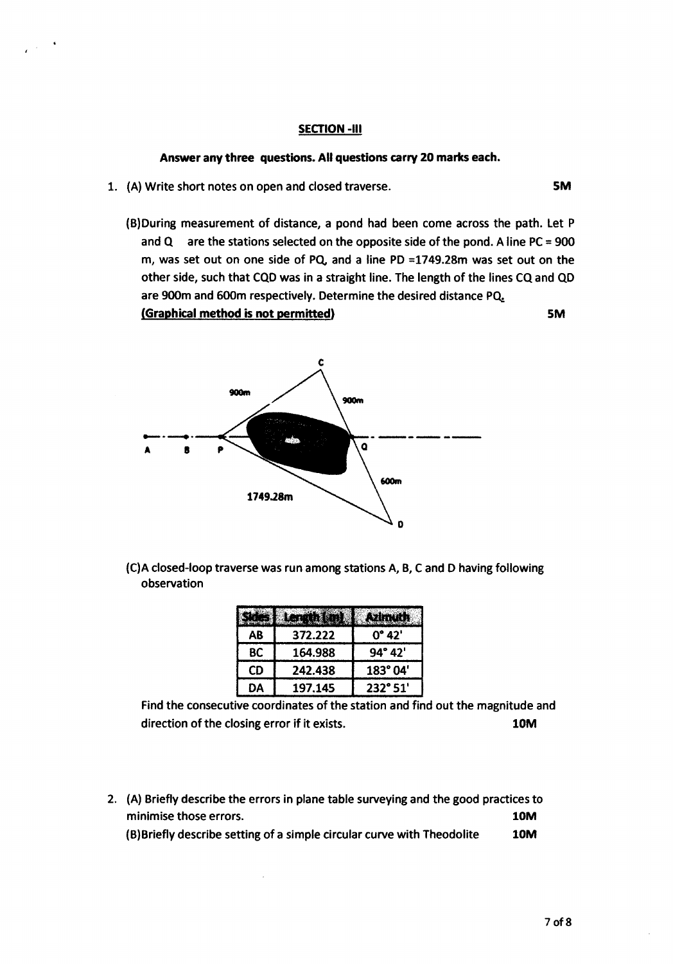#### SECTION -III

#### Answer any three questions. All questions carry 20 marks each.

- 1. (A) Write short notes on open and closed traverse. SM
	- (B)During measurement of distance, a pond had been come across the path. Let P and  $Q$  are the stations selected on the opposite side of the pond. A line PC = 900 m, was set out on one side of PQ, and a line PD =1749.28m was set out on the other side, such that CQDwas in a straight line. The length of the lines CQ and QD are 900m and 600m respectively. Determine the desired distance PQ.

(Graphical method is not permitted) SM



(C)A closed-loop traverse was run among stations A, B, Cand 0 having following observation

| AB | 372.222 | 0° 42'           |
|----|---------|------------------|
| ВC | 164.988 | $94^{\circ} 42'$ |
| CD | 242.438 | 183° 04'         |
| DΑ | 197.145 | $232^{\circ}51'$ |

Find the consecutive coordinates of the station and find out the magnitude and direction of the closing error if it exists. 10M

2. (A) Briefly describe the errors in plane table surveying and the good practices to minimise those errors. 10M (B)Briefly describe setting of a simple circular curve with Theodolite 10M